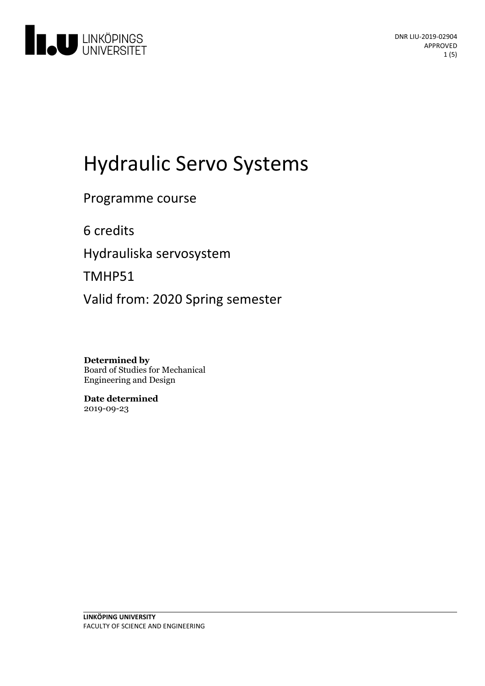

# Hydraulic Servo Systems

Programme course

6 credits

Hydrauliska servosystem

TMHP51

Valid from: 2020 Spring semester

**Determined by** Board of Studies for Mechanical Engineering and Design

**Date determined** 2019-09-23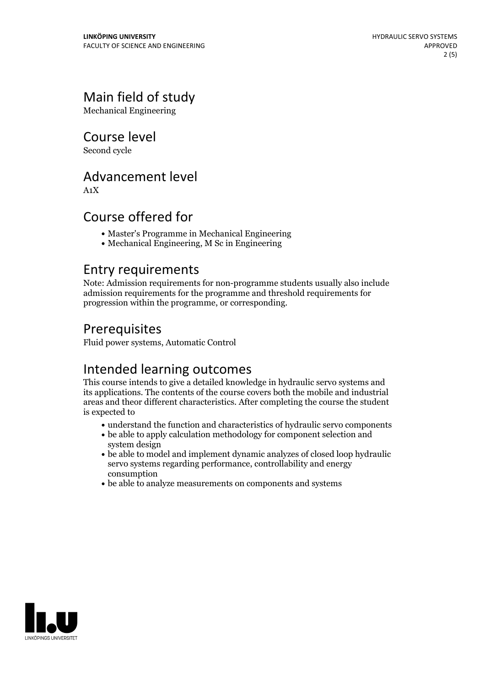# Main field of study

Mechanical Engineering

Course level

Second cycle

# Advancement level

A1X

# Course offered for

- Master's Programme in Mechanical Engineering
- Mechanical Engineering, M Sc in Engineering

### Entry requirements

Note: Admission requirements for non-programme students usually also include admission requirements for the programme and threshold requirements for progression within the programme, or corresponding.

# Prerequisites

Fluid power systems, Automatic Control

# Intended learning outcomes

This course intends to give a detailed knowledge in hydraulic servo systems and its applications. The contents of the course covers both the mobile and industrial areas and theor different characteristics. After completing the course the student is expected to

- understand the function and characteristics of hydraulic servo components
- be able to apply calculation methodology for component selection and system design
- be able to model and implement dynamic analyzes of closed loop hydraulic servo systems regarding performance, controllability and energy consumption
- be able to analyze measurements on components and systems

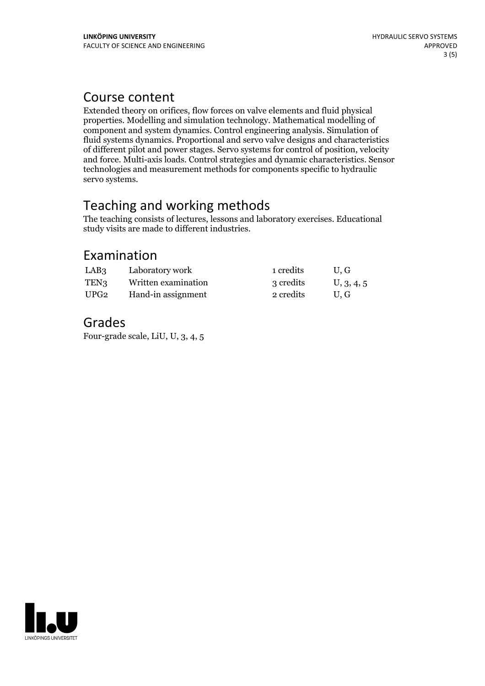### Course content

Extended theory on orifices, flow forces on valve elements and fluid physical properties. Modelling and simulation technology. Mathematical modelling of component and system dynamics. Control engineering analysis. Simulation of fluid systems dynamics. Proportional and servo valve designs and characteristics of different pilot and power stages. Servo systems for control of position, velocity and force. Multi-axis loads. Control strategies and dynamic characteristics. Sensor technologies and measurement methods for components specific to hydraulic servo systems.

# Teaching and working methods

The teaching consists of lectures, lessons and laboratory exercises. Educational study visits are made to different industries.

# Examination

| LAB <sub>3</sub> | Laboratory work     | 1 credits | U.G        |
|------------------|---------------------|-----------|------------|
| TEN <sub>3</sub> | Written examination | 3 credits | U, 3, 4, 5 |
| UPG2             | Hand-in assignment  | 2 credits | U.G        |

# Grades

Four-grade scale, LiU, U, 3, 4, 5

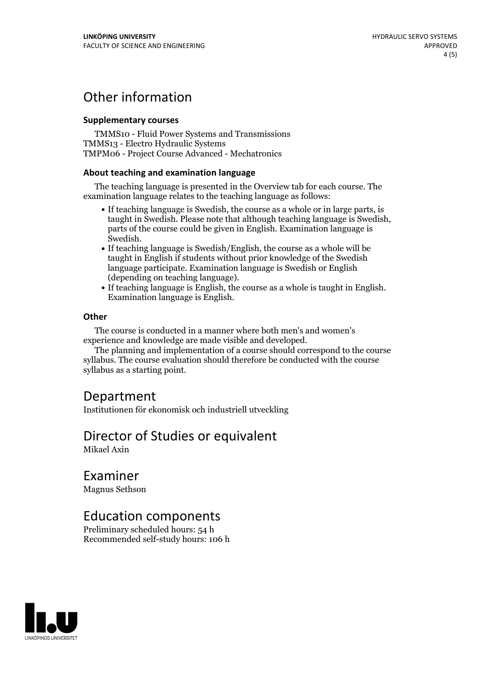# Other information

#### **Supplementarycourses**

TMMS10 - Fluid Power Systems and Transmissions TMMS13 - Electro Hydraulic Systems TMPM06 - Project Course Advanced - Mechatronics

#### **About teaching and examination language**

The teaching language is presented in the Overview tab for each course. The examination language relates to the teaching language as follows:

- If teaching language is Swedish, the course as a whole or in large parts, is taught in Swedish. Please note that although teaching language is Swedish, parts of the course could be given in English. Examination language is
- If teaching language is Swedish/English, the course as a whole will be taught in English if students without prior knowledge of the Swedish language participate. Examination language is Swedish or English
- $\bullet$  If teaching language is English, the course as a whole is taught in English. Examination language is English.

#### **Other**

The course is conducted in a manner where both men's and women's

experience and knowledge are made visible and developed. The planning and implementation of <sup>a</sup> course should correspond to the course syllabus. The course evaluation should therefore be conducted with the course syllabus as a starting point.

# Department

Institutionen för ekonomisk och industriell utveckling

### Director of Studies or equivalent

Mikael Axin

### Examiner

Magnus Sethson

### Education components

Preliminary scheduled hours: 54 h Recommended self-study hours: 106 h